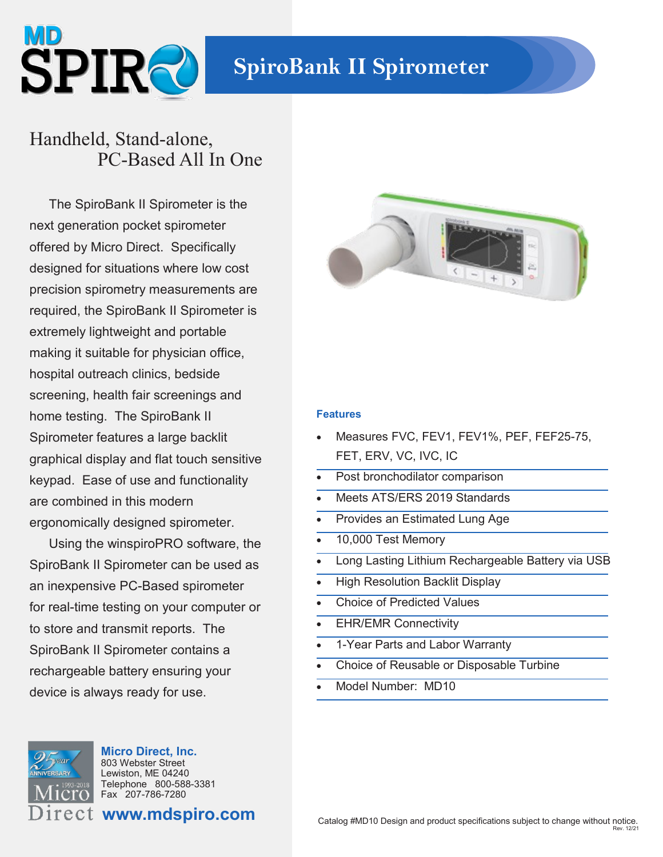

## Handheld, Stand-alone, PC-Based All In One

The SpiroBank II Spirometer is the next generation pocket spirometer offered by Micro Direct. Specifically designed for situations where low cost precision spirometry measurements are required, the SpiroBank II Spirometer is extremely lightweight and portable making it suitable for physician office, hospital outreach clinics, bedside screening, health fair screenings and home testing. The SpiroBank II Spirometer features a large backlit graphical display and flat touch sensitive keypad. Ease of use and functionality are combined in this modern ergonomically designed spirometer.

Using the winspiroPRO software, the SpiroBank II Spirometer can be used as an inexpensive PC-Based spirometer for real-time testing on your computer or to store and transmit reports. The SpiroBank II Spirometer contains a rechargeable battery ensuring your device is always ready for use.



**Micro Direct, Inc.** 803 Webster Street Lewiston, ME 04240 Telephone 800-588-3381 Fax 207-786-7280

**www.mdspiro.com**



## **Features**

- Measures FVC, FEV1, FEV1%, PEF, FEF25-75, FET, ERV, VC, IVC, IC
- Post bronchodilator comparison
- Meets ATS/ERS 2019 Standards
- Provides an Estimated Lung Age
- 10,000 Test Memory
- Long Lasting Lithium Rechargeable Battery via USB
- High Resolution Backlit Display
- Choice of Predicted Values
- EHR/EMR Connectivity
- 1-Year Parts and Labor Warranty
- Choice of Reusable or Disposable Turbine
- Model Number: MD10